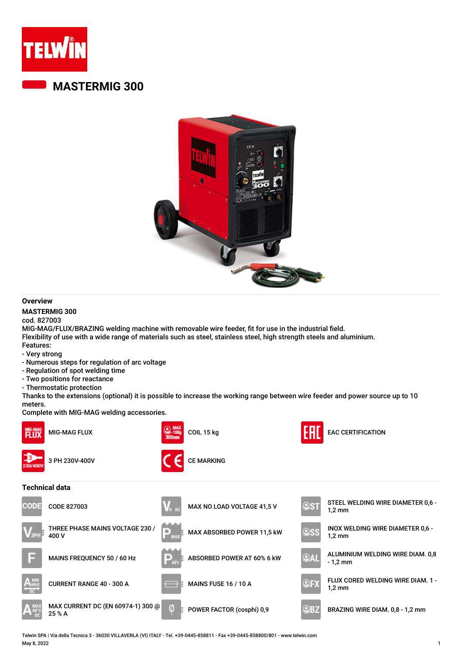

## **MASTERMIG 300**



#### **Overview**

#### **MASTERMIG 300**

cod. 827003

MIG-MAG/FLUX/BRAZING welding machine with removable wire feeder, fit for use in the industrial field. Flexibility of use with a wide range of materials such as steel, stainless steel, high strength steels and aluminium. Features:

- Very strong
- Numerous steps for regulation of arc voltage
- Regulation of spot welding time
- Two positions for reactance
- Thermostatic protection

Thanks to the extensions (optional) it is possible to increase the working range between wire feeder and power source up to 10 meters.

Complete with MIG-MAG welding accessories.



Telwin SPA | Via della Tecnica 3 - 36030 VILLAVERLA (VI) ITALY - Tel. +39-0445-858811 - Fax +39-0445-858800/801 - www.telwin.com May 8, 2022 1